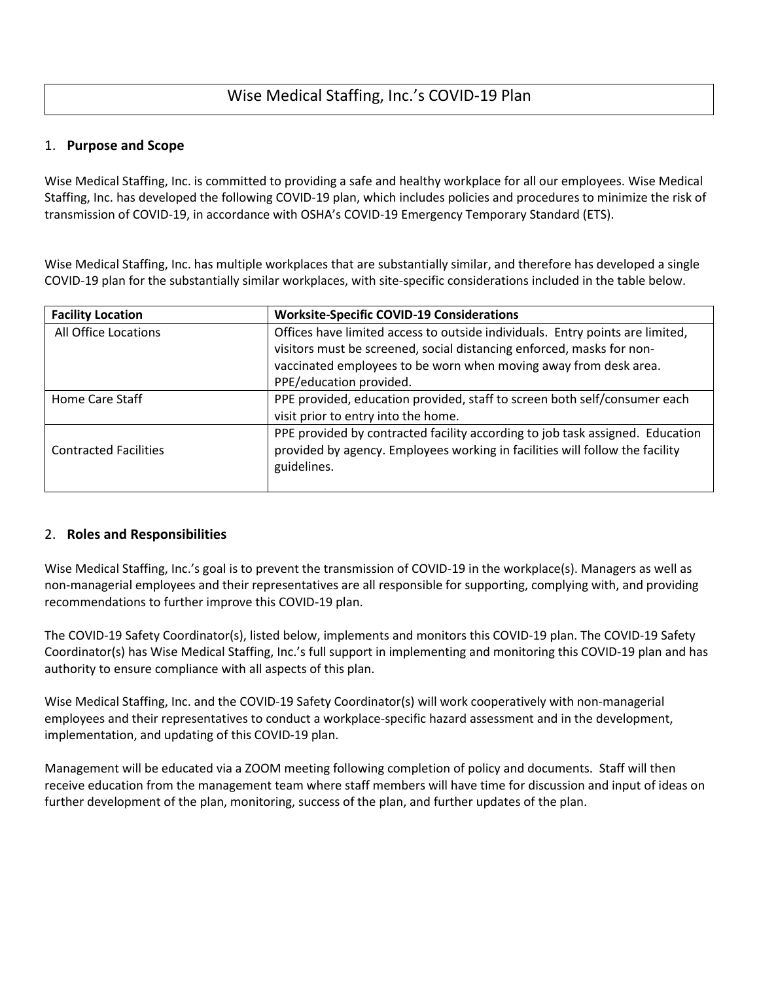# Wise Medical Staffing, Inc.'s COVID-19 Plan

## 1. **Purpose and Scope**

Wise Medical Staffing, Inc. is committed to providing a safe and healthy workplace for all our employees. Wise Medical Staffing, Inc. has developed the following COVID-19 plan, which includes policies and procedures to minimize the risk of transmission of COVID-19, in accordance with OSHA's COVID-19 Emergency Temporary Standard (ETS).

Wise Medical Staffing, Inc. has multiple workplaces that are substantially similar, and therefore has developed a single COVID-19 plan for the substantially similar workplaces, with site-specific considerations included in the table below.

| <b>Facility Location</b>     | <b>Worksite-Specific COVID-19 Considerations</b>                                                                                                                                                                                                      |  |
|------------------------------|-------------------------------------------------------------------------------------------------------------------------------------------------------------------------------------------------------------------------------------------------------|--|
| All Office Locations         | Offices have limited access to outside individuals. Entry points are limited,<br>visitors must be screened, social distancing enforced, masks for non-<br>vaccinated employees to be worn when moving away from desk area.<br>PPE/education provided. |  |
| Home Care Staff              | PPE provided, education provided, staff to screen both self/consumer each<br>visit prior to entry into the home.                                                                                                                                      |  |
| <b>Contracted Facilities</b> | PPE provided by contracted facility according to job task assigned. Education<br>provided by agency. Employees working in facilities will follow the facility<br>guidelines.                                                                          |  |

## 2. **Roles and Responsibilities**

Wise Medical Staffing, Inc.'s goal is to prevent the transmission of COVID-19 in the workplace(s). Managers as well as non-managerial employees and their representatives are all responsible for supporting, complying with, and providing recommendations to further improve this COVID-19 plan.

The COVID-19 Safety Coordinator(s), listed below, implements and monitors this COVID-19 plan. The COVID-19 Safety Coordinator(s) has Wise Medical Staffing, Inc.'s full support in implementing and monitoring this COVID-19 plan and has authority to ensure compliance with all aspects of this plan.

Wise Medical Staffing, Inc. and the COVID-19 Safety Coordinator(s) will work cooperatively with non-managerial employees and their representatives to conduct a workplace-specific hazard assessment and in the development, implementation, and updating of this COVID-19 plan.

Management will be educated via a ZOOM meeting following completion of policy and documents. Staff will then receive education from the management team where staff members will have time for discussion and input of ideas on further development of the plan, monitoring, success of the plan, and further updates of the plan.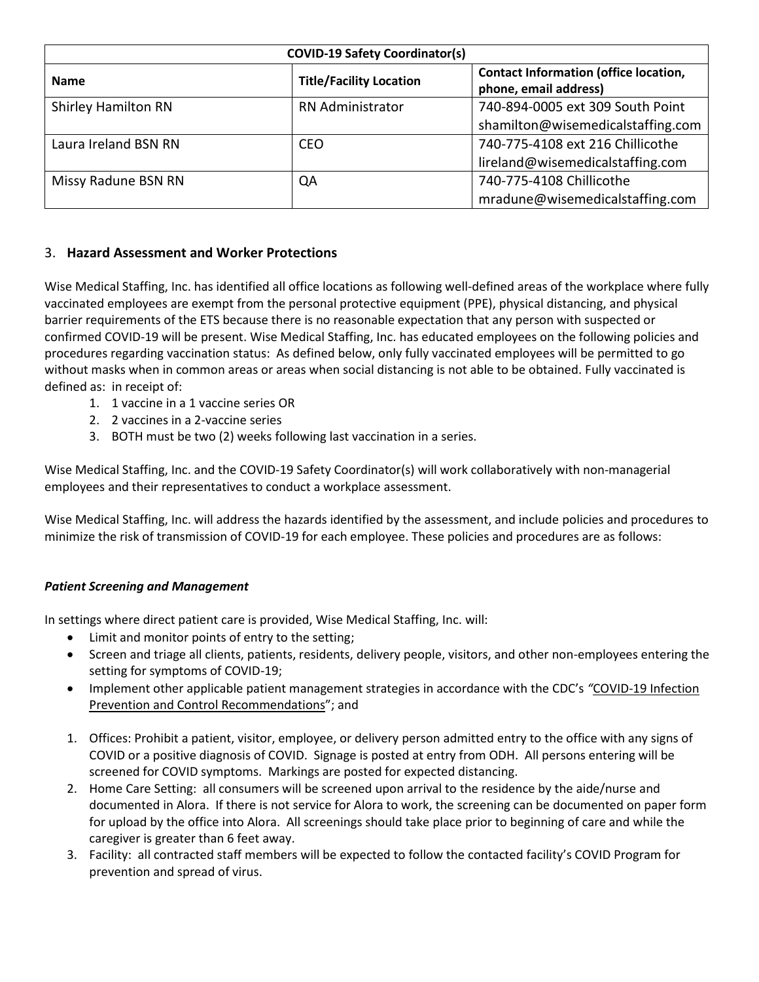| <b>COVID-19 Safety Coordinator(s)</b> |                                |                                                                       |  |  |
|---------------------------------------|--------------------------------|-----------------------------------------------------------------------|--|--|
| <b>Name</b>                           | <b>Title/Facility Location</b> | <b>Contact Information (office location,</b><br>phone, email address) |  |  |
| <b>Shirley Hamilton RN</b>            | <b>RN Administrator</b>        | 740-894-0005 ext 309 South Point                                      |  |  |
|                                       |                                | shamilton@wisemedicalstaffing.com                                     |  |  |
| Laura Ireland BSN RN                  | CEO.                           | 740-775-4108 ext 216 Chillicothe                                      |  |  |
|                                       |                                | lireland@wisemedicalstaffing.com                                      |  |  |
| Missy Radune BSN RN                   | QA                             | 740-775-4108 Chillicothe                                              |  |  |
|                                       |                                | mradune@wisemedicalstaffing.com                                       |  |  |

## 3. **Hazard Assessment and Worker Protections**

Wise Medical Staffing, Inc. has identified all office locations as following well-defined areas of the workplace where fully vaccinated employees are exempt from the personal protective equipment (PPE), physical distancing, and physical barrier requirements of the ETS because there is no reasonable expectation that any person with suspected or confirmed COVID-19 will be present. Wise Medical Staffing, Inc. has educated employees on the following policies and procedures regarding vaccination status: As defined below, only fully vaccinated employees will be permitted to go without masks when in common areas or areas when social distancing is not able to be obtained. Fully vaccinated is defined as: in receipt of:

- 1. 1 vaccine in a 1 vaccine series OR
- 2. 2 vaccines in a 2-vaccine series
- 3. BOTH must be two (2) weeks following last vaccination in a series.

Wise Medical Staffing, Inc. and the COVID-19 Safety Coordinator(s) will work collaboratively with non-managerial employees and their representatives to conduct a workplace assessment.

Wise Medical Staffing, Inc. will address the hazards identified by the assessment, and include policies and procedures to minimize the risk of transmission of COVID-19 for each employee. These policies and procedures are as follows:

## *Patient Screening and Management*

In settings where direct patient care is provided, Wise Medical Staffing, Inc. will:

- Limit and monitor points of entry to the setting;
- Screen and triage all clients, patients, residents, delivery people, visitors, and other non-employees entering the setting for symptoms of COVID-19;
- Implement other applicable patient management strategies in accordance with the CDC's *"*[COVID-19 Infection](https://www.osha.gov/sites/default/files/CDC)  [Prevention and Control Recommendations](https://www.osha.gov/sites/default/files/CDC)"; and
- 1. Offices: Prohibit a patient, visitor, employee, or delivery person admitted entry to the office with any signs of COVID or a positive diagnosis of COVID. Signage is posted at entry from ODH. All persons entering will be screened for COVID symptoms. Markings are posted for expected distancing.
- 2. Home Care Setting: all consumers will be screened upon arrival to the residence by the aide/nurse and documented in Alora. If there is not service for Alora to work, the screening can be documented on paper form for upload by the office into Alora. All screenings should take place prior to beginning of care and while the caregiver is greater than 6 feet away.
- 3. Facility: all contracted staff members will be expected to follow the contacted facility's COVID Program for prevention and spread of virus.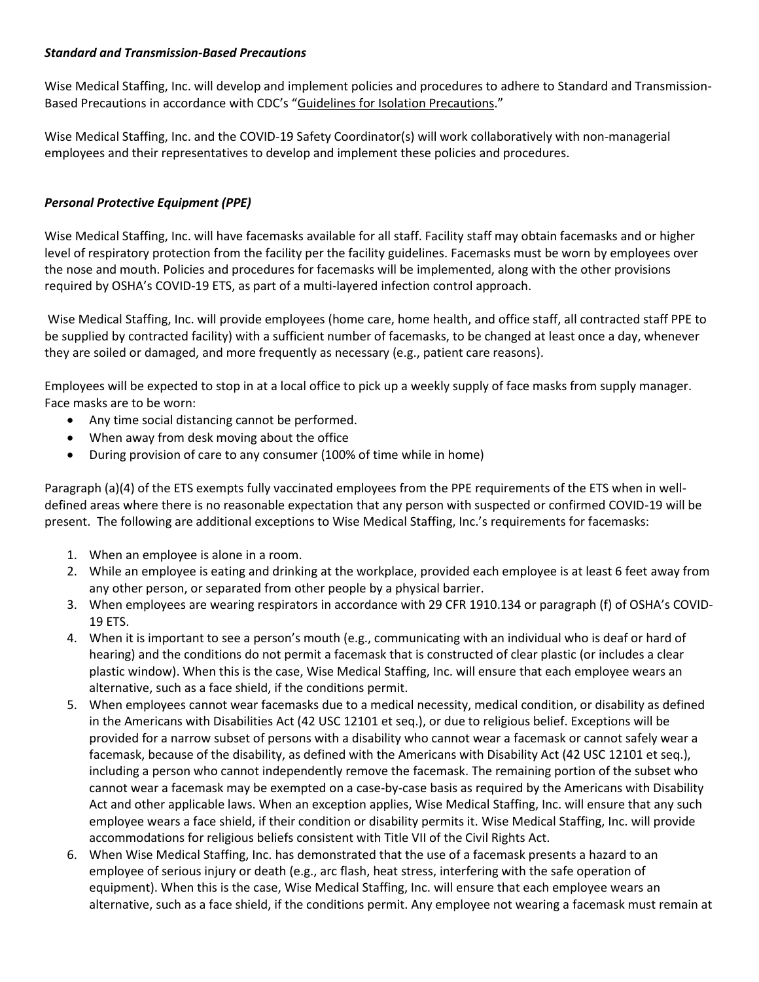#### *Standard and Transmission-Based Precautions*

Wise Medical Staffing, Inc. will develop and implement policies and procedures to adhere to Standard and Transmission-Based Precautions in accordance with CDC's "[Guidelines for Isolation Precautions](https://www.osha.gov/sites/default/files/CDC)."

Wise Medical Staffing, Inc. and the COVID-19 Safety Coordinator(s) will work collaboratively with non-managerial employees and their representatives to develop and implement these policies and procedures.

## *Personal Protective Equipment (PPE)*

Wise Medical Staffing, Inc. will have facemasks available for all staff. Facility staff may obtain facemasks and or higher level of respiratory protection from the facility per the facility guidelines. Facemasks must be worn by employees over the nose and mouth. Policies and procedures for facemasks will be implemented, along with the other provisions required by OSHA's COVID-19 ETS, as part of a multi-layered infection control approach.

Wise Medical Staffing, Inc. will provide employees (home care, home health, and office staff, all contracted staff PPE to be supplied by contracted facility) with a sufficient number of facemasks, to be changed at least once a day, whenever they are soiled or damaged, and more frequently as necessary (e.g., patient care reasons).

Employees will be expected to stop in at a local office to pick up a weekly supply of face masks from supply manager. Face masks are to be worn:

- Any time social distancing cannot be performed.
- When away from desk moving about the office
- During provision of care to any consumer (100% of time while in home)

Paragraph (a)(4) of the ETS exempts fully vaccinated employees from the PPE requirements of the ETS when in welldefined areas where there is no reasonable expectation that any person with suspected or confirmed COVID-19 will be present. The following are additional exceptions to Wise Medical Staffing, Inc.'s requirements for facemasks:

- 1. When an employee is alone in a room.
- 2. While an employee is eating and drinking at the workplace, provided each employee is at least 6 feet away from any other person, or separated from other people by a physical barrier.
- 3. When employees are wearing respirators in accordance with 29 CFR 1910.134 or paragraph (f) of OSHA's COVID-19 ETS.
- 4. When it is important to see a person's mouth (e.g., communicating with an individual who is deaf or hard of hearing) and the conditions do not permit a facemask that is constructed of clear plastic (or includes a clear plastic window). When this is the case, Wise Medical Staffing, Inc. will ensure that each employee wears an alternative, such as a face shield, if the conditions permit.
- 5. When employees cannot wear facemasks due to a medical necessity, medical condition, or disability as defined in the Americans with Disabilities Act (42 USC 12101 et seq.), or due to religious belief. Exceptions will be provided for a narrow subset of persons with a disability who cannot wear a facemask or cannot safely wear a facemask, because of the disability, as defined with the Americans with Disability Act (42 USC 12101 et seq.), including a person who cannot independently remove the facemask. The remaining portion of the subset who cannot wear a facemask may be exempted on a case-by-case basis as required by the Americans with Disability Act and other applicable laws. When an exception applies, Wise Medical Staffing, Inc. will ensure that any such employee wears a face shield, if their condition or disability permits it. Wise Medical Staffing, Inc. will provide accommodations for religious beliefs consistent with Title VII of the Civil Rights Act.
- 6. When Wise Medical Staffing, Inc. has demonstrated that the use of a facemask presents a hazard to an employee of serious injury or death (e.g., arc flash, heat stress, interfering with the safe operation of equipment). When this is the case, Wise Medical Staffing, Inc. will ensure that each employee wears an alternative, such as a face shield, if the conditions permit. Any employee not wearing a facemask must remain at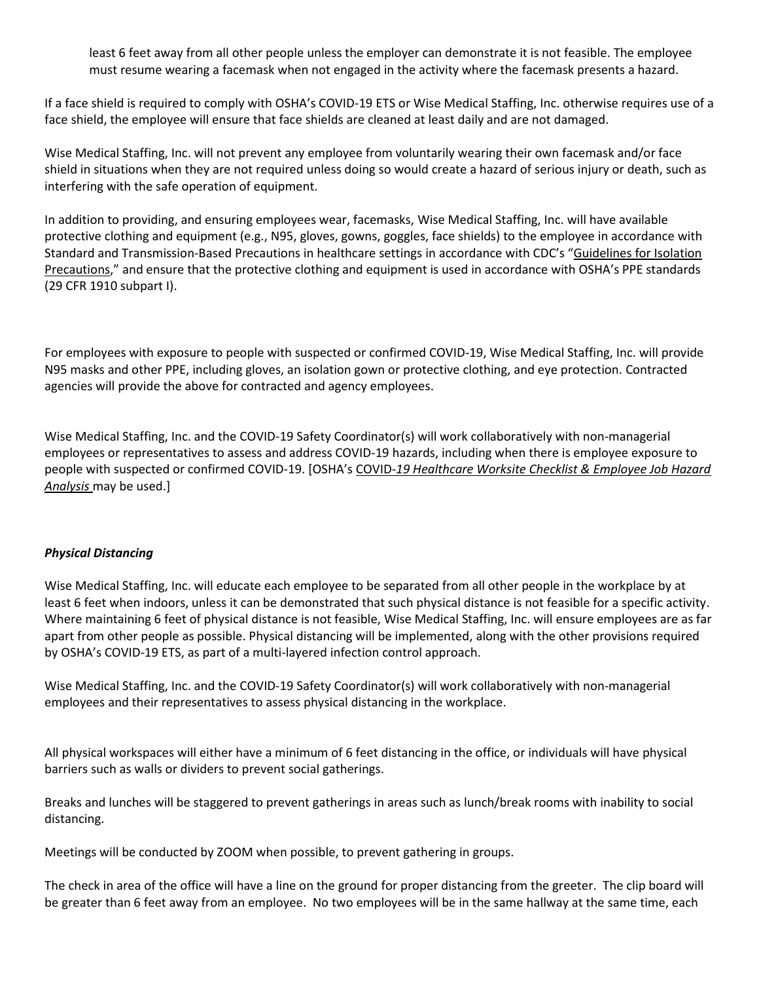least 6 feet away from all other people unless the employer can demonstrate it is not feasible. The employee must resume wearing a facemask when not engaged in the activity where the facemask presents a hazard.

If a face shield is required to comply with OSHA's COVID-19 ETS or Wise Medical Staffing, Inc. otherwise requires use of a face shield, the employee will ensure that face shields are cleaned at least daily and are not damaged.

Wise Medical Staffing, Inc. will not prevent any employee from voluntarily wearing their own facemask and/or face shield in situations when they are not required unless doing so would create a hazard of serious injury or death, such as interfering with the safe operation of equipment.

In addition to providing, and ensuring employees wear, facemasks, Wise Medical Staffing, Inc. will have available protective clothing and equipment (e.g., N95, gloves, gowns, goggles, face shields) to the employee in accordance with Standard and Transmission-Based Precautions in healthcare settings in accordance with CDC's "[Guidelines for Isolation](https://www.osha.gov/sites/default/files/CDC)  [Precautions](https://www.osha.gov/sites/default/files/CDC)," and ensure that the protective clothing and equipment is used in accordance with OSHA's PPE standards (29 CFR 1910 subpart I).

For employees with exposure to people with suspected or confirmed COVID-19, Wise Medical Staffing, Inc. will provide N95 masks and other PPE, including gloves, an isolation gown or protective clothing, and eye protection. Contracted agencies will provide the above for contracted and agency employees.

Wise Medical Staffing, Inc. and the COVID-19 Safety Coordinator(s) will work collaboratively with non-managerial employees or representatives to assess and address COVID-19 hazards, including when there is employee exposure to people with suspected or confirmed COVID-19. [OSHA's COVID*[-19 Healthcare Worksite Checklist & Employee Job Hazard](https://www.osha.gov/sites/default/files/COVID-19_Healthcare_ETS_Worksite_Checklist_Employee_Job_Hazard_Analysis.pdf)  [Analysis](https://www.osha.gov/sites/default/files/COVID-19_Healthcare_ETS_Worksite_Checklist_Employee_Job_Hazard_Analysis.pdf)* may be used.]

## *Physical Distancing*

Wise Medical Staffing, Inc. will educate each employee to be separated from all other people in the workplace by at least 6 feet when indoors, unless it can be demonstrated that such physical distance is not feasible for a specific activity. Where maintaining 6 feet of physical distance is not feasible, Wise Medical Staffing, Inc. will ensure employees are as far apart from other people as possible. Physical distancing will be implemented, along with the other provisions required by OSHA's COVID-19 ETS, as part of a multi-layered infection control approach.

Wise Medical Staffing, Inc. and the COVID-19 Safety Coordinator(s) will work collaboratively with non-managerial employees and their representatives to assess physical distancing in the workplace.

All physical workspaces will either have a minimum of 6 feet distancing in the office, or individuals will have physical barriers such as walls or dividers to prevent social gatherings.

Breaks and lunches will be staggered to prevent gatherings in areas such as lunch/break rooms with inability to social distancing.

Meetings will be conducted by ZOOM when possible, to prevent gathering in groups.

The check in area of the office will have a line on the ground for proper distancing from the greeter. The clip board will be greater than 6 feet away from an employee. No two employees will be in the same hallway at the same time, each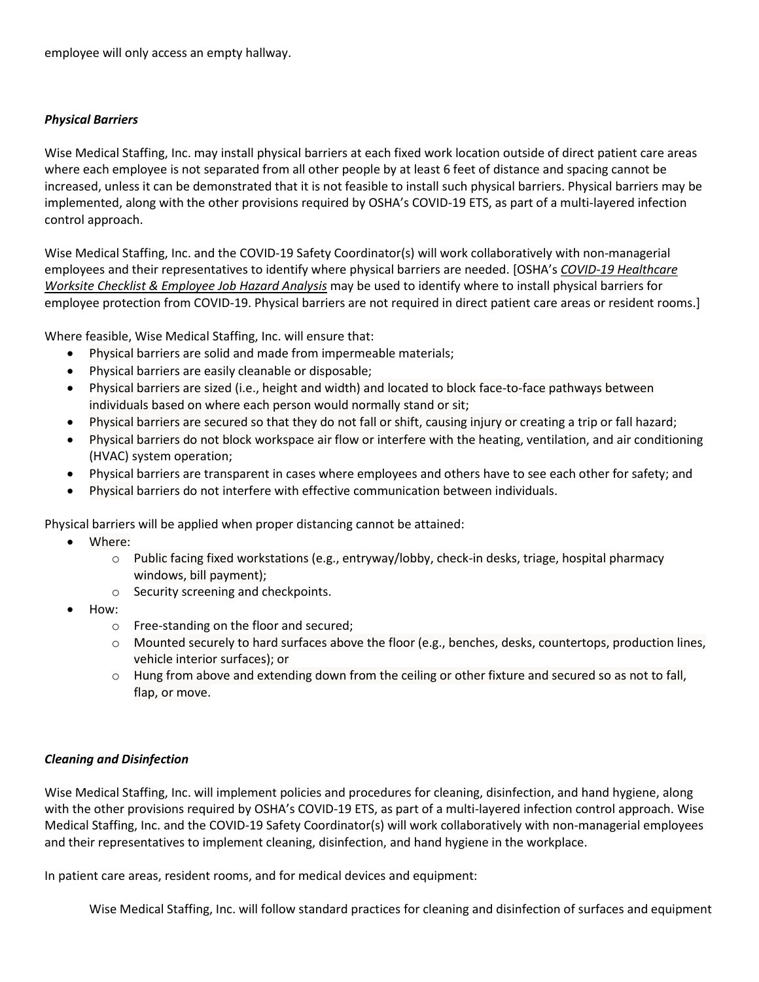employee will only access an empty hallway.

#### *Physical Barriers*

Wise Medical Staffing, Inc. may install physical barriers at each fixed work location outside of direct patient care areas where each employee is not separated from all other people by at least 6 feet of distance and spacing cannot be increased, unless it can be demonstrated that it is not feasible to install such physical barriers. Physical barriers may be implemented, along with the other provisions required by OSHA's COVID-19 ETS, as part of a multi-layered infection control approach.

Wise Medical Staffing, Inc. and the COVID-19 Safety Coordinator(s) will work collaboratively with non-managerial employees and their representatives to identify where physical barriers are needed. [OSHA's *[COVID-19 Healthcare](https://www.osha.gov/sites/default/files/COVID-19_Healthcare_ETS_Worksite_Checklist_Employee_Job_Hazard_Analysis.pdf)  [Worksite Checklist & Employee Job Hazard Analysis](https://www.osha.gov/sites/default/files/COVID-19_Healthcare_ETS_Worksite_Checklist_Employee_Job_Hazard_Analysis.pdf)* may be used to identify where to install physical barriers for employee protection from COVID-19. Physical barriers are not required in direct patient care areas or resident rooms.]

Where feasible, Wise Medical Staffing, Inc. will ensure that:

- Physical barriers are solid and made from impermeable materials;
- Physical barriers are easily cleanable or disposable;
- Physical barriers are sized (i.e., height and width) and located to block face-to-face pathways between individuals based on where each person would normally stand or sit;
- Physical barriers are secured so that they do not fall or shift, causing injury or creating a trip or fall hazard;
- Physical barriers do not block workspace air flow or interfere with the heating, ventilation, and air conditioning (HVAC) system operation;
- Physical barriers are transparent in cases where employees and others have to see each other for safety; and
- Physical barriers do not interfere with effective communication between individuals.

Physical barriers will be applied when proper distancing cannot be attained:

- Where:
	- $\circ$  Public facing fixed workstations (e.g., entryway/lobby, check-in desks, triage, hospital pharmacy windows, bill payment);
	- o Security screening and checkpoints.
- How:
	- o Free-standing on the floor and secured;
	- $\circ$  Mounted securely to hard surfaces above the floor (e.g., benches, desks, countertops, production lines, vehicle interior surfaces); or
	- $\circ$  Hung from above and extending down from the ceiling or other fixture and secured so as not to fall, flap, or move.

## *Cleaning and Disinfection*

Wise Medical Staffing, Inc. will implement policies and procedures for cleaning, disinfection, and hand hygiene, along with the other provisions required by OSHA's COVID-19 ETS, as part of a multi-layered infection control approach. Wise Medical Staffing, Inc. and the COVID-19 Safety Coordinator(s) will work collaboratively with non-managerial employees and their representatives to implement cleaning, disinfection, and hand hygiene in the workplace.

In patient care areas, resident rooms, and for medical devices and equipment:

Wise Medical Staffing, Inc. will follow standard practices for cleaning and disinfection of surfaces and equipment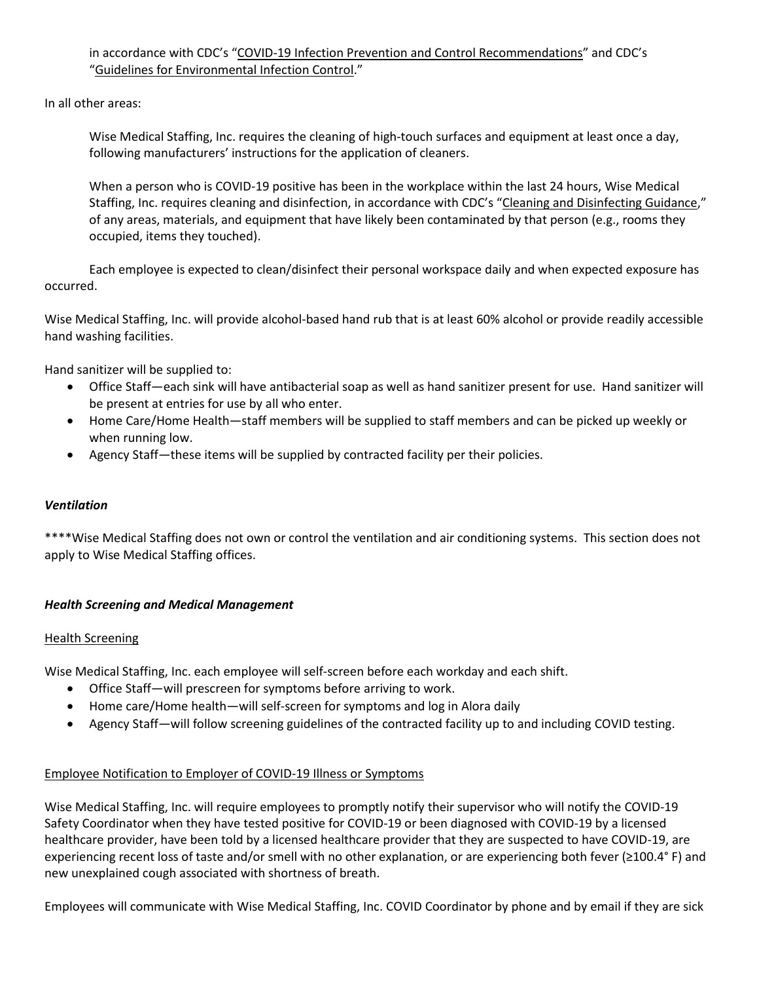in accordance with CDC's "[COVID-19 Infection Prevention and Control Recommendations](https://www.osha.gov/sites/default/files/CDC)" and CDC's "[Guidelines for Environmental Infection Control](https://www.osha.gov/sites/default/files/CDC)."

In all other areas:

Wise Medical Staffing, Inc. requires the cleaning of high-touch surfaces and equipment at least once a day, following manufacturers' instructions for the application of cleaners.

When a person who is COVID-19 positive has been in the workplace within the last 24 hours, Wise Medical Staffing, Inc. requires cleaning and disinfection, in accordance with CDC's "[Cleaning and Disinfecting Guidance](https://www.osha.gov/sites/default/files/CDC)," of any areas, materials, and equipment that have likely been contaminated by that person (e.g., rooms they occupied, items they touched).

Each employee is expected to clean/disinfect their personal workspace daily and when expected exposure has occurred.

Wise Medical Staffing, Inc. will provide alcohol-based hand rub that is at least 60% alcohol or provide readily accessible hand washing facilities.

Hand sanitizer will be supplied to:

- Office Staff—each sink will have antibacterial soap as well as hand sanitizer present for use. Hand sanitizer will be present at entries for use by all who enter.
- Home Care/Home Health—staff members will be supplied to staff members and can be picked up weekly or when running low.
- Agency Staff—these items will be supplied by contracted facility per their policies.

#### *Ventilation*

\*\*\*\*Wise Medical Staffing does not own or control the ventilation and air conditioning systems. This section does not apply to Wise Medical Staffing offices.

#### *Health Screening and Medical Management*

#### Health Screening

Wise Medical Staffing, Inc. each employee will self-screen before each workday and each shift.

- Office Staff—will prescreen for symptoms before arriving to work.
- Home care/Home health—will self-screen for symptoms and log in Alora daily
- Agency Staff—will follow screening guidelines of the contracted facility up to and including COVID testing.

#### Employee Notification to Employer of COVID-19 Illness or Symptoms

Wise Medical Staffing, Inc. will require employees to promptly notify their supervisor who will notify the COVID-19 Safety Coordinator when they have tested positive for COVID-19 or been diagnosed with COVID-19 by a licensed healthcare provider, have been told by a licensed healthcare provider that they are suspected to have COVID-19, are experiencing recent loss of taste and/or smell with no other explanation, or are experiencing both fever (≥100.4° F) and new unexplained cough associated with shortness of breath.

Employees will communicate with Wise Medical Staffing, Inc. COVID Coordinator by phone and by email if they are sick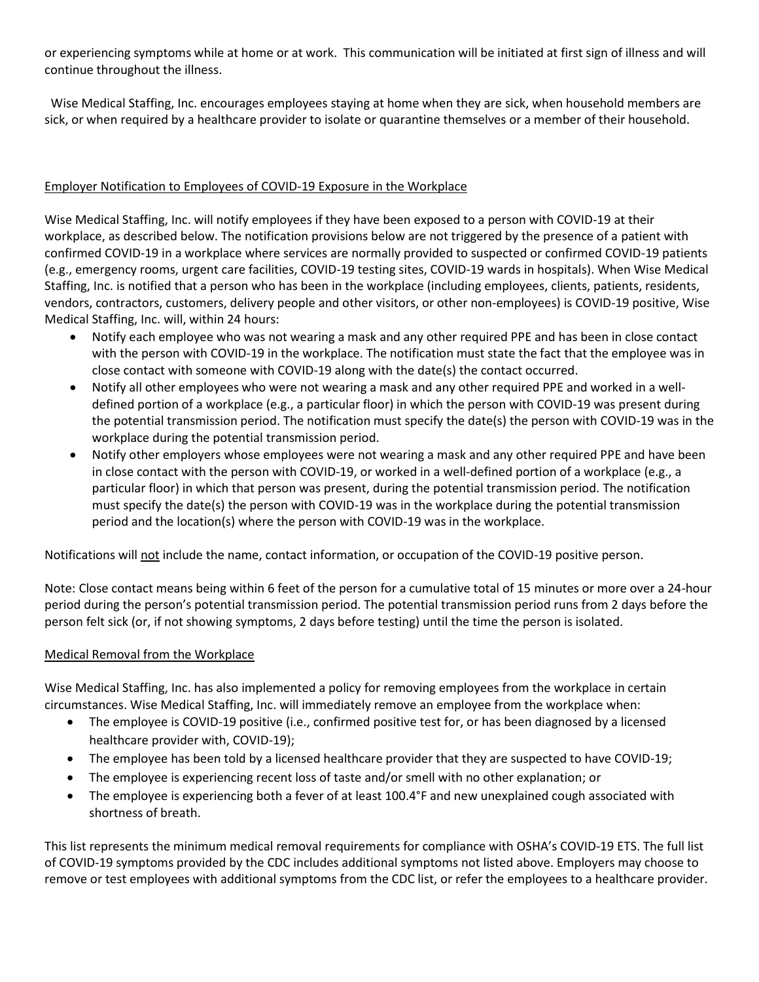or experiencing symptoms while at home or at work. This communication will be initiated at first sign of illness and will continue throughout the illness.

Wise Medical Staffing, Inc. encourages employees staying at home when they are sick, when household members are sick, or when required by a healthcare provider to isolate or quarantine themselves or a member of their household.

#### Employer Notification to Employees of COVID-19 Exposure in the Workplace

Wise Medical Staffing, Inc. will notify employees if they have been exposed to a person with COVID-19 at their workplace, as described below. The notification provisions below are not triggered by the presence of a patient with confirmed COVID-19 in a workplace where services are normally provided to suspected or confirmed COVID-19 patients (e.g., emergency rooms, urgent care facilities, COVID-19 testing sites, COVID-19 wards in hospitals). When Wise Medical Staffing, Inc. is notified that a person who has been in the workplace (including employees, clients, patients, residents, vendors, contractors, customers, delivery people and other visitors, or other non-employees) is COVID-19 positive, Wise Medical Staffing, Inc. will, within 24 hours:

- Notify each employee who was not wearing a mask and any other required PPE and has been in close contact with the person with COVID-19 in the workplace. The notification must state the fact that the employee was in close contact with someone with COVID-19 along with the date(s) the contact occurred.
- Notify all other employees who were not wearing a mask and any other required PPE and worked in a welldefined portion of a workplace (e.g., a particular floor) in which the person with COVID-19 was present during the potential transmission period. The notification must specify the date(s) the person with COVID-19 was in the workplace during the potential transmission period.
- Notify other employers whose employees were not wearing a mask and any other required PPE and have been in close contact with the person with COVID-19, or worked in a well-defined portion of a workplace (e.g., a particular floor) in which that person was present, during the potential transmission period. The notification must specify the date(s) the person with COVID-19 was in the workplace during the potential transmission period and the location(s) where the person with COVID-19 was in the workplace.

Notifications will not include the name, contact information, or occupation of the COVID-19 positive person.

Note: Close contact means being within 6 feet of the person for a cumulative total of 15 minutes or more over a 24-hour period during the person's potential transmission period. The potential transmission period runs from 2 days before the person felt sick (or, if not showing symptoms, 2 days before testing) until the time the person is isolated.

## Medical Removal from the Workplace

Wise Medical Staffing, Inc. has also implemented a policy for removing employees from the workplace in certain circumstances. Wise Medical Staffing, Inc. will immediately remove an employee from the workplace when:

- The employee is COVID-19 positive (i.e., confirmed positive test for, or has been diagnosed by a licensed healthcare provider with, COVID-19);
- The employee has been told by a licensed healthcare provider that they are suspected to have COVID-19;
- The employee is experiencing recent loss of taste and/or smell with no other explanation; or
- The employee is experiencing both a fever of at least 100.4°F and new unexplained cough associated with shortness of breath.

This list represents the minimum medical removal requirements for compliance with OSHA's COVID-19 ETS. The full list of COVID-19 symptoms provided by the CDC includes additional symptoms not listed above. Employers may choose to remove or test employees with additional symptoms from the CDC list, or refer the employees to a healthcare provider.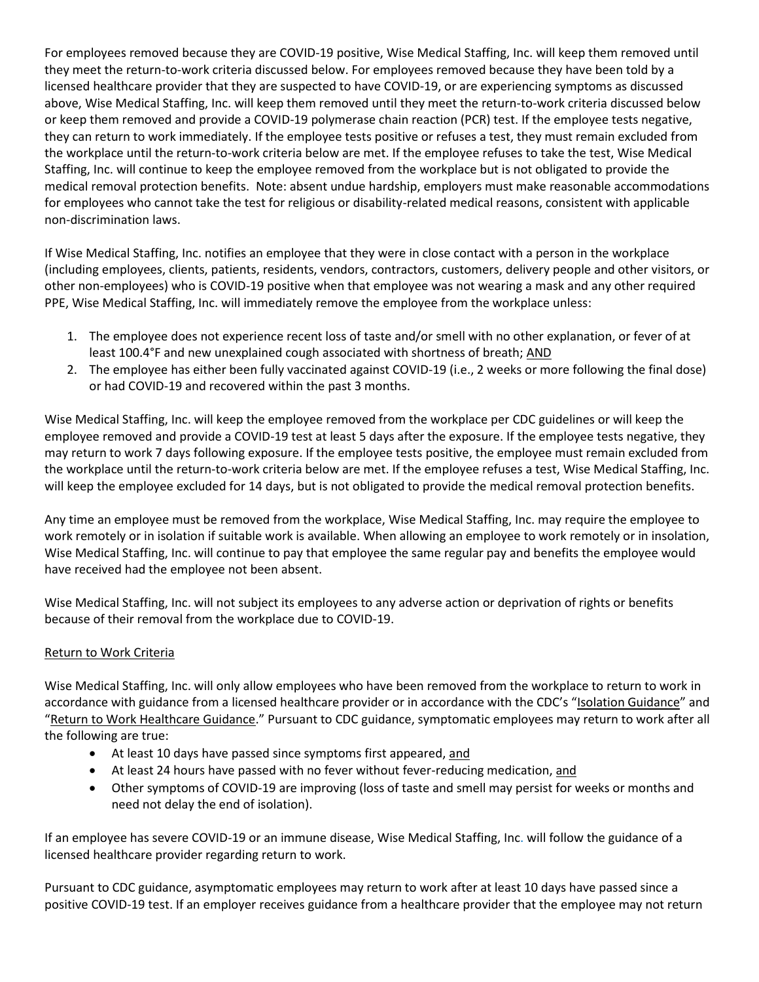For employees removed because they are COVID-19 positive, Wise Medical Staffing, Inc. will keep them removed until they meet the return-to-work criteria discussed below. For employees removed because they have been told by a licensed healthcare provider that they are suspected to have COVID-19, or are experiencing symptoms as discussed above, Wise Medical Staffing, Inc. will keep them removed until they meet the return-to-work criteria discussed below or keep them removed and provide a COVID-19 polymerase chain reaction (PCR) test. If the employee tests negative, they can return to work immediately. If the employee tests positive or refuses a test, they must remain excluded from the workplace until the return-to-work criteria below are met. If the employee refuses to take the test, Wise Medical Staffing, Inc. will continue to keep the employee removed from the workplace but is not obligated to provide the medical removal protection benefits. Note: absent undue hardship, employers must make reasonable accommodations for employees who cannot take the test for religious or disability-related medical reasons, consistent with applicable non-discrimination laws.

If Wise Medical Staffing, Inc. notifies an employee that they were in close contact with a person in the workplace (including employees, clients, patients, residents, vendors, contractors, customers, delivery people and other visitors, or other non-employees) who is COVID-19 positive when that employee was not wearing a mask and any other required PPE, Wise Medical Staffing, Inc. will immediately remove the employee from the workplace unless:

- 1. The employee does not experience recent loss of taste and/or smell with no other explanation, or fever of at least 100.4°F and new unexplained cough associated with shortness of breath; AND
- 2. The employee has either been fully vaccinated against COVID-19 (i.e., 2 weeks or more following the final dose) or had COVID-19 and recovered within the past 3 months.

Wise Medical Staffing, Inc. will keep the employee removed from the workplace per CDC guidelines or will keep the employee removed and provide a COVID-19 test at least 5 days after the exposure. If the employee tests negative, they may return to work 7 days following exposure. If the employee tests positive, the employee must remain excluded from the workplace until the return-to-work criteria below are met. If the employee refuses a test, Wise Medical Staffing, Inc. will keep the employee excluded for 14 days, but is not obligated to provide the medical removal protection benefits.

Any time an employee must be removed from the workplace, Wise Medical Staffing, Inc. may require the employee to work remotely or in isolation if suitable work is available. When allowing an employee to work remotely or in insolation, Wise Medical Staffing, Inc. will continue to pay that employee the same regular pay and benefits the employee would have received had the employee not been absent.

Wise Medical Staffing, Inc. will not subject its employees to any adverse action or deprivation of rights or benefits because of their removal from the workplace due to COVID-19.

## Return to Work Criteria

Wise Medical Staffing, Inc. will only allow employees who have been removed from the workplace to return to work in accordance with guidance from a licensed healthcare provider or in accordance with the CDC's "[Isolation Guidance](https://www.osha.gov/sites/default/files/CDC)" and "[Return to Work Healthcare Guidance](https://www.osha.gov/sites/default/files/CDC)." Pursuant to CDC guidance, symptomatic employees may return to work after all the following are true:

- At least 10 days have passed since symptoms first appeared, and
- At least 24 hours have passed with no fever without fever-reducing medication, and
- Other symptoms of COVID-19 are improving (loss of taste and smell may persist for weeks or months and need not delay the end of isolation).

If an employee has severe COVID-19 or an immune disease, Wise Medical Staffing, Inc. will follow the guidance of a licensed healthcare provider regarding return to work.

Pursuant to CDC guidance, asymptomatic employees may return to work after at least 10 days have passed since a positive COVID-19 test. If an employer receives guidance from a healthcare provider that the employee may not return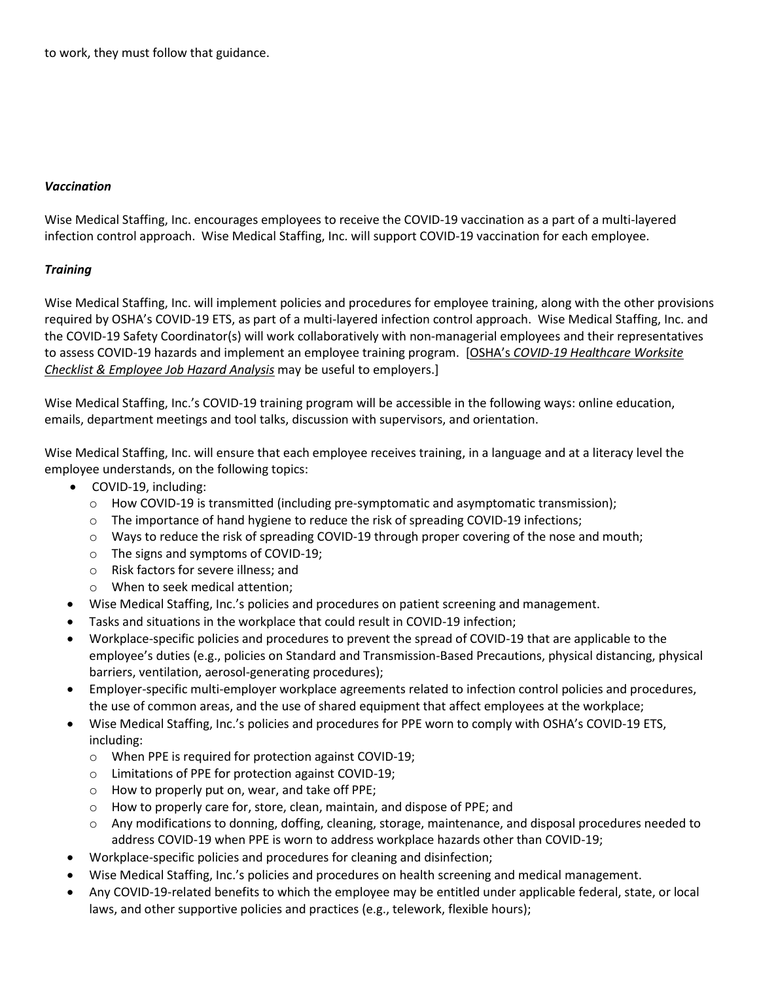to work, they must follow that guidance.

#### *Vaccination*

Wise Medical Staffing, Inc. encourages employees to receive the COVID-19 vaccination as a part of a multi-layered infection control approach. Wise Medical Staffing, Inc. will support COVID-19 vaccination for each employee.

#### *Training*

Wise Medical Staffing, Inc. will implement policies and procedures for employee training, along with the other provisions required by OSHA's COVID-19 ETS, as part of a multi-layered infection control approach. Wise Medical Staffing, Inc. and the COVID-19 Safety Coordinator(s) will work collaboratively with non-managerial employees and their representatives to assess COVID-19 hazards and implement an employee training program. [OSHA's *[COVID-19 Healthcare Worksite](https://www.osha.gov/sites/default/files/COVID-19_Healthcare_ETS_Worksite_Checklist_Employee_Job_Hazard_Analysis.pdf)  [Checklist & Employee Job Hazard Analysis](https://www.osha.gov/sites/default/files/COVID-19_Healthcare_ETS_Worksite_Checklist_Employee_Job_Hazard_Analysis.pdf)* may be useful to employers.]

Wise Medical Staffing, Inc.'s COVID-19 training program will be accessible in the following ways: online education, emails, department meetings and tool talks, discussion with supervisors, and orientation.

Wise Medical Staffing, Inc. will ensure that each employee receives training, in a language and at a literacy level the employee understands, on the following topics:

- COVID-19, including:
	- o How COVID-19 is transmitted (including pre-symptomatic and asymptomatic transmission);
	- $\circ$  The importance of hand hygiene to reduce the risk of spreading COVID-19 infections;
	- o Ways to reduce the risk of spreading COVID-19 through proper covering of the nose and mouth;
	- o The signs and symptoms of COVID-19;
	- o Risk factors for severe illness; and
	- o When to seek medical attention;
- Wise Medical Staffing, Inc.'s policies and procedures on patient screening and management.
- Tasks and situations in the workplace that could result in COVID-19 infection;
- Workplace-specific policies and procedures to prevent the spread of COVID-19 that are applicable to the employee's duties (e.g., policies on Standard and Transmission-Based Precautions, physical distancing, physical barriers, ventilation, aerosol-generating procedures);
- Employer-specific multi-employer workplace agreements related to infection control policies and procedures, the use of common areas, and the use of shared equipment that affect employees at the workplace;
- Wise Medical Staffing, Inc.'s policies and procedures for PPE worn to comply with OSHA's COVID-19 ETS, including:
	- o When PPE is required for protection against COVID-19;
	- o Limitations of PPE for protection against COVID-19;
	- o How to properly put on, wear, and take off PPE;
	- o How to properly care for, store, clean, maintain, and dispose of PPE; and
	- o Any modifications to donning, doffing, cleaning, storage, maintenance, and disposal procedures needed to address COVID-19 when PPE is worn to address workplace hazards other than COVID-19;
- Workplace-specific policies and procedures for cleaning and disinfection;
- Wise Medical Staffing, Inc.'s policies and procedures on health screening and medical management.
- Any COVID-19-related benefits to which the employee may be entitled under applicable federal, state, or local laws, and other supportive policies and practices (e.g., telework, flexible hours);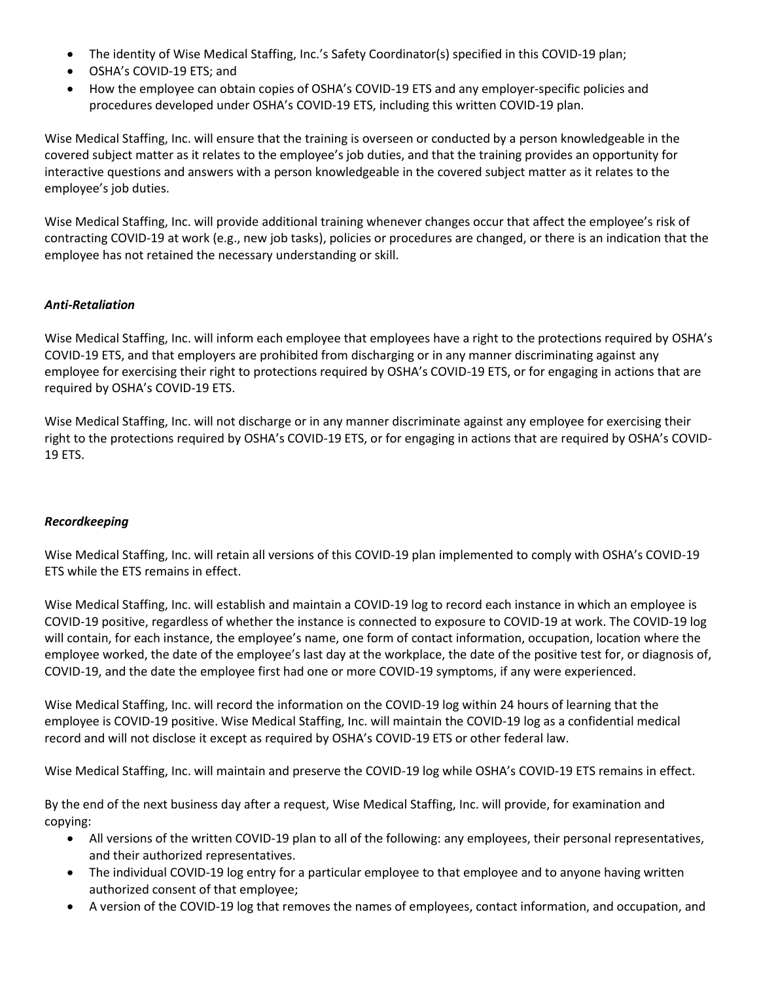- The identity of Wise Medical Staffing, Inc.'s Safety Coordinator(s) specified in this COVID-19 plan;
- OSHA's COVID-19 ETS; and
- How the employee can obtain copies of OSHA's COVID-19 ETS and any employer-specific policies and procedures developed under OSHA's COVID-19 ETS, including this written COVID-19 plan.

Wise Medical Staffing, Inc. will ensure that the training is overseen or conducted by a person knowledgeable in the covered subject matter as it relates to the employee's job duties, and that the training provides an opportunity for interactive questions and answers with a person knowledgeable in the covered subject matter as it relates to the employee's job duties.

Wise Medical Staffing, Inc. will provide additional training whenever changes occur that affect the employee's risk of contracting COVID-19 at work (e.g., new job tasks), policies or procedures are changed, or there is an indication that the employee has not retained the necessary understanding or skill.

#### *Anti-Retaliation*

Wise Medical Staffing, Inc. will inform each employee that employees have a right to the protections required by OSHA's COVID-19 ETS, and that employers are prohibited from discharging or in any manner discriminating against any employee for exercising their right to protections required by OSHA's COVID-19 ETS, or for engaging in actions that are required by OSHA's COVID-19 ETS.

Wise Medical Staffing, Inc. will not discharge or in any manner discriminate against any employee for exercising their right to the protections required by OSHA's COVID-19 ETS, or for engaging in actions that are required by OSHA's COVID-19 ETS.

## *Recordkeeping*

Wise Medical Staffing, Inc. will retain all versions of this COVID-19 plan implemented to comply with OSHA's COVID-19 ETS while the ETS remains in effect.

Wise Medical Staffing, Inc. will establish and maintain a COVID-19 log to record each instance in which an employee is COVID-19 positive, regardless of whether the instance is connected to exposure to COVID-19 at work. The COVID-19 log will contain, for each instance, the employee's name, one form of contact information, occupation, location where the employee worked, the date of the employee's last day at the workplace, the date of the positive test for, or diagnosis of, COVID-19, and the date the employee first had one or more COVID-19 symptoms, if any were experienced.

Wise Medical Staffing, Inc. will record the information on the COVID-19 log within 24 hours of learning that the employee is COVID-19 positive. Wise Medical Staffing, Inc. will maintain the COVID-19 log as a confidential medical record and will not disclose it except as required by OSHA's COVID-19 ETS or other federal law.

Wise Medical Staffing, Inc. will maintain and preserve the COVID-19 log while OSHA's COVID-19 ETS remains in effect.

By the end of the next business day after a request, Wise Medical Staffing, Inc. will provide, for examination and copying:

- All versions of the written COVID-19 plan to all of the following: any employees, their personal representatives, and their authorized representatives.
- The individual COVID-19 log entry for a particular employee to that employee and to anyone having written authorized consent of that employee;
- A version of the COVID-19 log that removes the names of employees, contact information, and occupation, and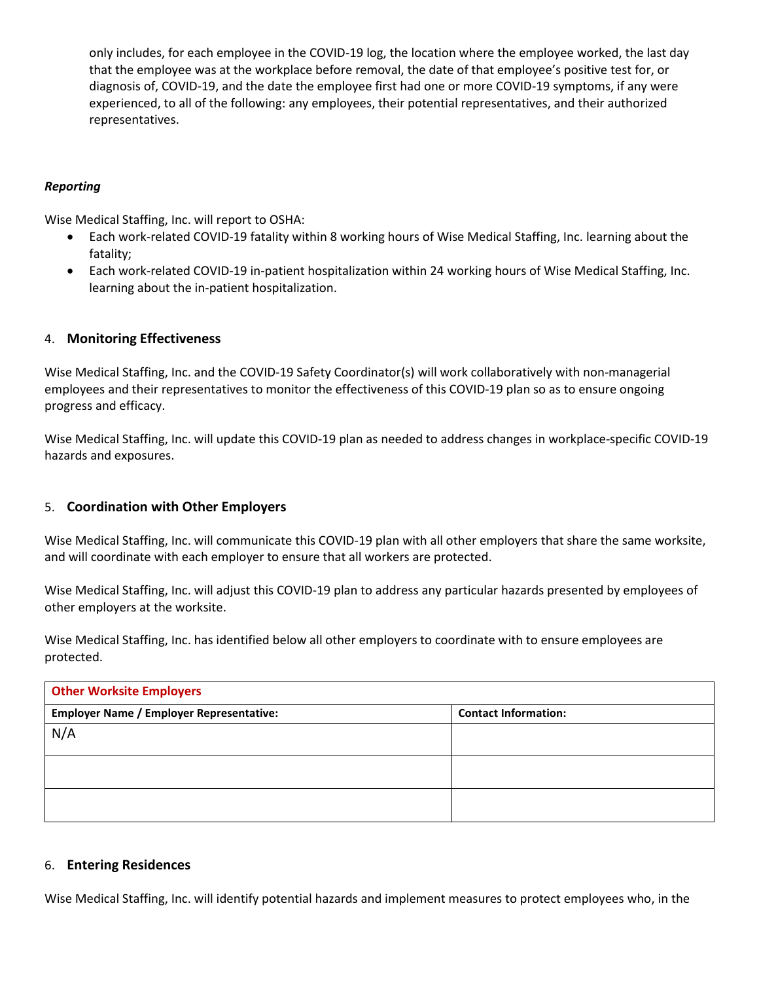only includes, for each employee in the COVID-19 log, the location where the employee worked, the last day that the employee was at the workplace before removal, the date of that employee's positive test for, or diagnosis of, COVID-19, and the date the employee first had one or more COVID-19 symptoms, if any were experienced, to all of the following: any employees, their potential representatives, and their authorized representatives.

## *Reporting*

Wise Medical Staffing, Inc. will report to OSHA:

- Each work-related COVID-19 fatality within 8 working hours of Wise Medical Staffing, Inc. learning about the fatality;
- Each work-related COVID-19 in-patient hospitalization within 24 working hours of Wise Medical Staffing, Inc. learning about the in-patient hospitalization.

#### 4. **Monitoring Effectiveness**

Wise Medical Staffing, Inc. and the COVID-19 Safety Coordinator(s) will work collaboratively with non-managerial employees and their representatives to monitor the effectiveness of this COVID-19 plan so as to ensure ongoing progress and efficacy.

Wise Medical Staffing, Inc. will update this COVID-19 plan as needed to address changes in workplace-specific COVID-19 hazards and exposures.

## 5. **Coordination with Other Employers**

Wise Medical Staffing, Inc. will communicate this COVID-19 plan with all other employers that share the same worksite, and will coordinate with each employer to ensure that all workers are protected.

Wise Medical Staffing, Inc. will adjust this COVID-19 plan to address any particular hazards presented by employees of other employers at the worksite.

Wise Medical Staffing, Inc. has identified below all other employers to coordinate with to ensure employees are protected.

| <b>Other Worksite Employers</b>                 |                             |  |  |
|-------------------------------------------------|-----------------------------|--|--|
| <b>Employer Name / Employer Representative:</b> | <b>Contact Information:</b> |  |  |
| N/A                                             |                             |  |  |
|                                                 |                             |  |  |
|                                                 |                             |  |  |
|                                                 |                             |  |  |
|                                                 |                             |  |  |

#### 6. **Entering Residences**

Wise Medical Staffing, Inc. will identify potential hazards and implement measures to protect employees who, in the